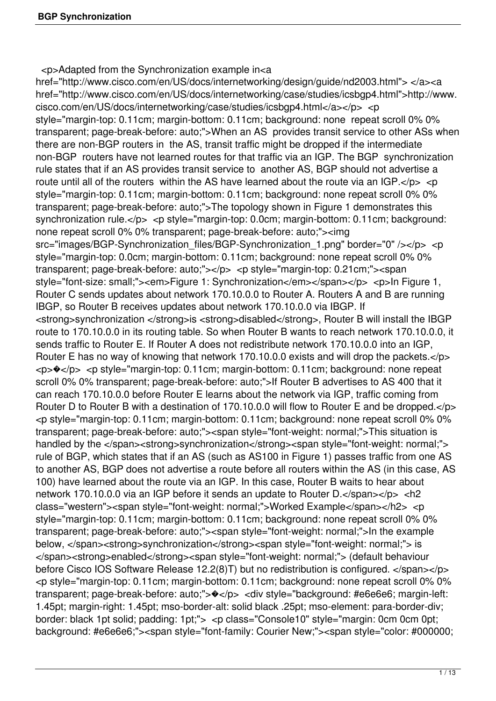<p>Adapted from the Synchronization example in<a

href="http://www.cisco.com/en/US/docs/internetworking/design/guide/nd2003.html"> </a><a href="http://www.cisco.com/en/US/docs/internetworking/case/studies/icsbgp4.html">http://www. cisco.com/en/US/docs/internetworking/case/studies/icsbgp4.html</a></p> <p style="margin-top: 0.11cm; margin-bottom: 0.11cm; background: none repeat scroll 0% 0% transparent; page-break-before: auto;">When an AS provides transit service to other ASs when there are non-BGP routers in the AS, transit traffic might be dropped if the intermediate non-BGP routers have not learned routes for that traffic via an IGP. The BGP synchronization rule states that if an AS provides transit service to another AS, BGP should not advertise a route until all of the routers within the AS have learned about the route via an  $IGP.< p$ style="margin-top: 0.11cm; margin-bottom: 0.11cm; background: none repeat scroll 0% 0% transparent; page-break-before: auto;">The topology shown in Figure 1 demonstrates this synchronization rule.</p> <p style="margin-top: 0.0cm; margin-bottom: 0.11cm; background: none repeat scroll 0% 0% transparent; page-break-before: auto;"><img src="images/BGP-Synchronization\_files/BGP-Synchronization\_1.png" border="0" /></p> <p style="margin-top: 0.0cm; margin-bottom: 0.11cm; background: none repeat scroll 0% 0% transparent; page-break-before: auto;"></p> <p style="margin-top: 0.21cm;"><span style="font-size: small;"><em>Figure 1: Synchronization</em></span></p></p>><p>In Figure 1, Router C sends updates about network 170.10.0.0 to Router A. Routers A and B are running IBGP, so Router B receives updates about network 170.10.0.0 via IBGP. If <strong>synchronization </strong>is <strong>disabled</strong>, Router B will install the IBGP route to 170.10.0.0 in its routing table. So when Router B wants to reach network 170.10.0.0, it sends traffic to Router E. If Router A does not redistribute network 170.10.0.0 into an IGP, Router E has no way of knowing that network 170.10.0.0 exists and will drop the packets.</p> <p>�</p> <p style="margin-top: 0.11cm; margin-bottom: 0.11cm; background: none repeat scroll 0% 0% transparent; page-break-before: auto;">If Router B advertises to AS 400 that it can reach 170.10.0.0 before Router E learns about the network via IGP, traffic coming from Router D to Router B with a destination of 170.10.0.0 will flow to Router E and be dropped.</p> <p style="margin-top: 0.11cm; margin-bottom: 0.11cm; background: none repeat scroll 0% 0% transparent; page-break-before: auto;"><span style="font-weight: normal;">This situation is handled by the </span><strong>synchronization</strong><span style="font-weight: normal;"> rule of BGP, which states that if an AS (such as AS100 in Figure 1) passes traffic from one AS to another AS, BGP does not advertise a route before all routers within the AS (in this case, AS 100) have learned about the route via an IGP. In this case, Router B waits to hear about network 170.10.0.0 via an IGP before it sends an update to Router D.</span></p> <h2 class="western"><span style="font-weight: normal;">Worked Example</span></h2> <p style="margin-top: 0.11cm; margin-bottom: 0.11cm; background: none repeat scroll 0% 0% transparent; page-break-before: auto;"><span style="font-weight: normal;">In the example below, </span><strong>synchronization</strong><span style="font-weight: normal;"> is </span><strong>enabled</strong><span style="font-weight: normal;"> (default behaviour before Cisco IOS Software Release 12.2(8)T) but no redistribution is configured. </span></p> <p style="margin-top: 0.11cm; margin-bottom: 0.11cm; background: none repeat scroll 0% 0% transparent; page-break-before: auto;">\</p> <div style="background: #e6e6e6; margin-left: 1.45pt; margin-right: 1.45pt; mso-border-alt: solid black .25pt; mso-element: para-border-div; border: black 1pt solid; padding: 1pt;"> <p class="Console10" style="margin: 0cm 0cm 0pt; background: #e6e6e6;"><span style="font-family: Courier New;"><span style="color: #000000;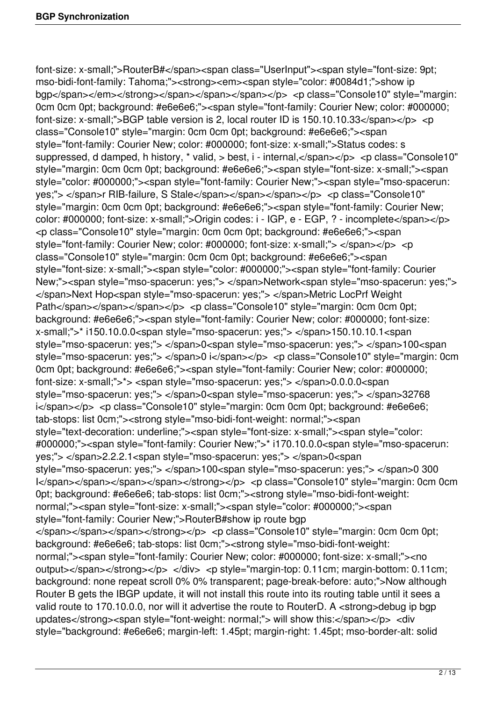font-size: x-small;">RouterB#</span><span class="UserInput"><span style="font-size: 9pt; mso-bidi-font-family: Tahoma;"><strong><em><span style="color: #0084d1;">show ip bgp</span></em></strong></span></span></span></p>></p>> <p class="Console10" style="margin: 0cm 0cm 0pt; background: #e6e6e6;"><span style="font-family: Courier New; color: #000000; font-size: x-small;">BGP table version is 2, local router ID is  $150.10.10.33 <$ /span> $<$ /p>  $<$ p class="Console10" style="margin: 0cm 0cm 0pt; background: #e6e6e6;"><span style="font-family: Courier New; color: #000000; font-size: x-small;">Status codes: s suppressed, d damped, h history, \* valid, > best, i - internal, </span></p> <p class="Console10" style="margin: 0cm 0cm 0pt; background: #e6e6e6;"><span style="font-size: x-small;"><span style="color: #000000;"><span style="font-family: Courier New;"><span style="mso-spacerun: yes;"> </span>r RIB-failure, S Stale</span></span></span></p> <p class="Console10" style="margin: 0cm 0cm 0pt; background: #e6e6e6;"><span style="font-family: Courier New; color: #000000; font-size: x-small;">Origin codes: i - IGP, e - EGP, ? - incomplete</span></p> <p class="Console10" style="margin: 0cm 0cm 0pt; background: #e6e6e6;"><span style="font-family: Courier New; color: #000000; font-size: x-small;"> </span></p> <p class="Console10" style="margin: 0cm 0cm 0pt; background: #e6e6e6;"><span style="font-size: x-small;"><span style="color: #000000;"><span style="font-family: Courier New;"><span style="mso-spacerun: yes;"> </span>Network<span style="mso-spacerun: yes;"> </span>Next Hop<span style="mso-spacerun: yes;"> </span>Metric LocPrf Weight Path</span></span></span></p>></p> <p class="Console10" style="margin: 0cm 0cm 0pt; background: #e6e6e6;"><span style="font-family: Courier New; color: #000000; font-size: x-small;">\* i150.10.0.0<span style="mso-spacerun: yes;"> </span>150.10.10.1<span style="mso-spacerun: yes;"> </span>0<span style="mso-spacerun: yes;"> </span>100<span style="mso-spacerun: yes;"> </span>0 i</span></p> <p class="Console10" style="margin: 0cm 0cm 0pt; background: #e6e6e6;"><span style="font-family: Courier New; color: #000000; font-size: x-small;">\*> <span style="mso-spacerun: yes;"> </span>0.0.0.0<span style="mso-spacerun: yes;"> </span>0<span style="mso-spacerun: yes;"> </span>32768 i</span></p> <p class="Console10" style="margin: 0cm 0cm 0pt; background: #e6e6e6; tab-stops: list 0cm;"><strong style="mso-bidi-font-weight: normal;"><span style="text-decoration: underline;"><span style="font-size: x-small;"><span style="color: #000000;"><span style="font-family: Courier New;">\* i170.10.0.0<span style="mso-spacerun: yes;"> </span>2.2.2.1<span style="mso-spacerun: yes;"> </span>0<span style="mso-spacerun: yes;"> </span>100<span style="mso-spacerun: yes;"> </span>0 300 I</span></span></span></span></span></strong></p></p></p></p>class="Console10" style="margin: 0cm 0cm 0pt; background: #e6e6e6; tab-stops: list 0cm;"><strong style="mso-bidi-font-weight: normal;"><span style="font-size: x-small;"><span style="color: #000000;"><span style="font-family: Courier New;">RouterB#show ip route bgp </span></span></span></strong></p> <p class="Console10" style="margin: 0cm 0cm 0pt; background: #e6e6e6; tab-stops: list 0cm;"><strong style="mso-bidi-font-weight: normal;"><span style="font-family: Courier New; color: #000000; font-size: x-small;"><no output></span></strong></p> </div> <p style="margin-top: 0.11cm; margin-bottom: 0.11cm; background: none repeat scroll 0% 0% transparent; page-break-before: auto;">Now although Router B gets the IBGP update, it will not install this route into its routing table until it sees a valid route to 170.10.0.0, nor will it advertise the route to RouterD, A <strong>debug ip bgp updates</strong><span style="font-weight: normal;"> will show this:</span></p> <div style="background: #e6e6e6; margin-left: 1.45pt; margin-right: 1.45pt; mso-border-alt: solid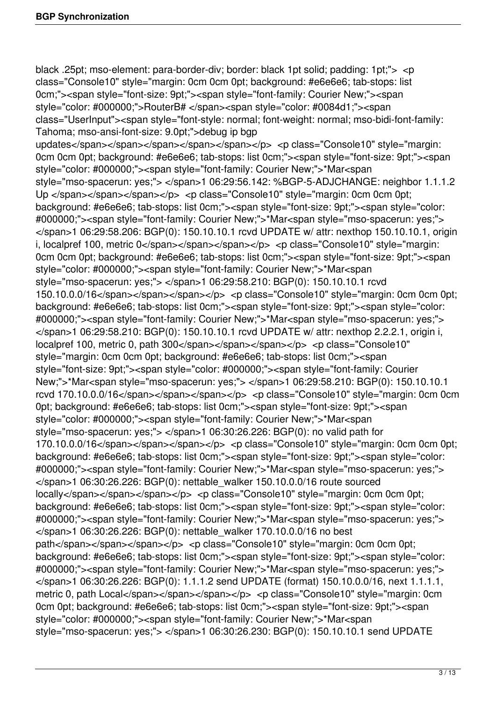black .25pt; mso-element: para-border-div; border: black 1pt solid; padding: 1pt;"> <p class="Console10" style="margin: 0cm 0cm 0pt; background: #e6e6e6; tab-stops: list 0cm;"><span style="font-size: 9pt;"><span style="font-family: Courier New;"><span style="color: #000000;">RouterB# </span><span style="color: #0084d1;"><span class="UserInput"><span style="font-style: normal; font-weight: normal; mso-bidi-font-family: Tahoma; mso-ansi-font-size: 9.0pt;">debug ip bgp updates</span></span></span></span></span></pp></pp>><p class="Console10" style="margin: 0cm 0cm 0pt; background: #e6e6e6; tab-stops: list 0cm;"><span style="font-size: 9pt;"><span style="color: #000000;"><span style="font-family: Courier New;">\*Mar<span style="mso-spacerun: yes;"> </span>1 06:29:56.142: %BGP-5-ADJCHANGE: neighbor 1.1.1.2 Up </span></span></span></p>> <p class="Console10" style="margin: 0cm 0cm 0pt; background: #e6e6e6; tab-stops: list 0cm;"><span style="font-size: 9pt;"><span style="color: #000000;"><span style="font-family: Courier New;">\*Mar<span style="mso-spacerun: yes;"> </span>1 06:29:58.206: BGP(0): 150.10.10.1 rcvd UPDATE w/ attr: nexthop 150.10.10.1, origin i, localpref 100, metric 0</span></span></span></p> <p class="Console10" style="margin: 0cm 0cm 0pt; background: #e6e6e6; tab-stops: list 0cm;"><span style="font-size: 9pt;"><span style="color: #000000;"><span style="font-family: Courier New;">\*Mar<span style="mso-spacerun: yes;"> </span>1 06:29:58.210: BGP(0): 150.10.10.1 rcvd 150.10.0.0/16</span></span></span></p> <p class="Console10" style="margin: 0cm 0cm 0pt; background: #e6e6e6; tab-stops: list 0cm;"><span style="font-size: 9pt;"><span style="color: #000000;"><span style="font-family: Courier New;">\*Mar<span style="mso-spacerun: yes;"> </span>1 06:29:58.210: BGP(0): 150.10.10.1 rcvd UPDATE w/ attr: nexthop 2.2.2.1, origin i, localpref 100, metric 0, path 300</span></span></span></p></p></p></p</spass="Console10" style="margin: 0cm 0cm 0pt; background: #e6e6e6; tab-stops: list 0cm;"><span style="font-size: 9pt;"><span style="color: #000000;"><span style="font-family: Courier New;">\*Mar<span style="mso-spacerun: yes;"> </span>1 06:29:58.210: BGP(0): 150.10.10.1 rcvd 170.10.0.0/16</span></span></span></p> <p class="Console10" style="margin: 0cm 0cm 0pt; background: #e6e6e6; tab-stops: list 0cm;"><span style="font-size: 9pt;"><span style="color: #000000;"><span style="font-family: Courier New;">\*Mar<span style="mso-spacerun: yes;"> </span>1 06:30:26.226: BGP(0): no valid path for 170.10.0.0/16</span></span></span></p> <p class="Console10" style="margin: 0cm 0cm 0pt; background: #e6e6e6; tab-stops: list 0cm;"><span style="font-size: 9pt;"><span style="color: #000000;"><span style="font-family: Courier New;">\*Mar<span style="mso-spacerun: yes;"> </span>1 06:30:26.226: BGP(0): nettable\_walker 150.10.0.0/16 route sourced locally</span></span></span></p>></p>> <p class="Console10" style="margin: 0cm 0cm 0pt; background: #e6e6e6; tab-stops: list 0cm;"><span style="font-size: 9pt;"><span style="color: #000000;"><span style="font-family: Courier New;">\*Mar<span style="mso-spacerun: yes;"> </span>1 06:30:26.226: BGP(0): nettable\_walker 170.10.0.0/16 no best path</span></span></span></p>><p class="Console10" style="margin: 0cm 0cm 0pt; background: #e6e6e6; tab-stops: list 0cm;"><span style="font-size: 9pt;"><span style="color: #000000;"><span style="font-family: Courier New;">\*Mar<span style="mso-spacerun: yes;"> </span>1 06:30:26.226: BGP(0): 1.1.1.2 send UPDATE (format) 150.10.0.0/16, next 1.1.1.1, metric 0, path Local</span></span></span></p></p></p></p></cass="Console10" style="margin: 0cm 0cm 0pt; background: #e6e6e6; tab-stops: list 0cm;"><span style="font-size: 9pt;"><span style="color: #000000;"><span style="font-family: Courier New;">\*Mar<span style="mso-spacerun: yes;"> </span>1 06:30:26.230: BGP(0): 150.10.10.1 send UPDATE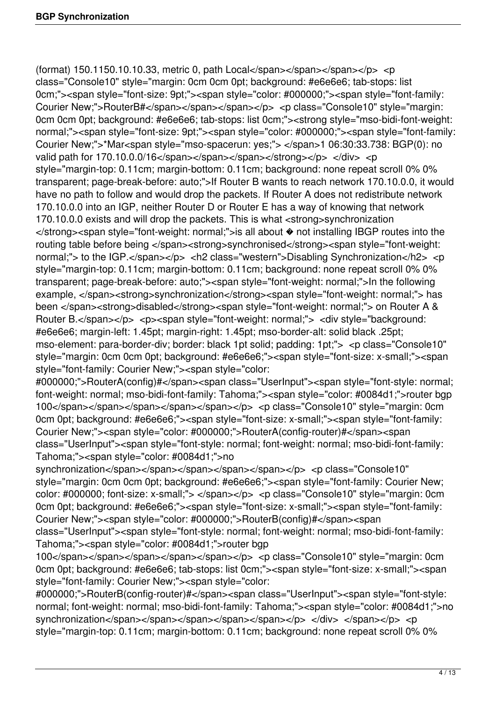(format) 150.1150.10.10.33, metric 0, path Local</span></span></span></p></p>< class="Console10" style="margin: 0cm 0cm 0pt; background: #e6e6e6; tab-stops: list 0cm;"><span style="font-size: 9pt;"><span style="color: #000000;"><span style="font-family: Courier New;">RouterB#</span></span></span></p></p><p class="Console10" style="margin: 0cm 0cm 0pt; background: #e6e6e6; tab-stops: list 0cm;"><strong style="mso-bidi-font-weight: normal;"><span style="font-size: 9pt;"><span style="color: #000000;"><span style="font-family: Courier New;">\*Mar<span style="mso-spacerun: yes;"> </span>1 06:30:33.738: BGP(0): no valid path for 170.10.0.0/16</span></span></span></strong></p> </div> <p style="margin-top: 0.11cm; margin-bottom: 0.11cm; background: none repeat scroll 0% 0% transparent; page-break-before: auto;">If Router B wants to reach network 170.10.0.0, it would have no path to follow and would drop the packets. If Router A does not redistribute network 170.10.0.0 into an IGP, neither Router D or Router E has a way of knowing that network 170.10.0.0 exists and will drop the packets. This is what <strong>synchronization </strong><span style="font-weight: normal;">is all about � not installing IBGP routes into the routing table before being </span><strong>synchronised</strong><span style="font-weight: normal;"> to the IGP.</span></p> <h2 class="western">Disabling Synchronization</h2> <p style="margin-top: 0.11cm; margin-bottom: 0.11cm; background: none repeat scroll 0% 0% transparent; page-break-before: auto;"><span style="font-weight: normal;">In the following example, </span><strong>synchronization</strong><span style="font-weight: normal;"> has been </span><strong>disabled</strong><span style="font-weight: normal;"> on Router A & Router B.</span></p> <p><span style="font-weight: normal;"> <div style="background: #e6e6e6; margin-left: 1.45pt; margin-right: 1.45pt; mso-border-alt: solid black .25pt; mso-element: para-border-div; border: black 1pt solid; padding: 1pt;"> <p class="Console10" style="margin: 0cm 0cm 0pt; background: #e6e6e6;"><span style="font-size: x-small;"><span style="font-family: Courier New;"><span style="color:

#000000;">RouterA(config)#</span><span class="UserInput"><span style="font-style: normal; font-weight: normal; mso-bidi-font-family: Tahoma;"><span style="color: #0084d1;">router bgp 100</span></span></span></span></span></span></p></p></p></spass="Console10" style="margin: 0cm 0cm 0pt; background: #e6e6e6;"><span style="font-size: x-small;"><span style="font-family: Courier New;"><span style="color: #000000;">RouterA(config-router)#</span><span class="UserInput"><span style="font-style: normal; font-weight: normal; mso-bidi-font-family: Tahoma;"><span style="color: #0084d1;">no

synchronization</span></span></span></span></span></p></p></p></pass="Console10" style="margin: 0cm 0cm 0pt; background: #e6e6e6;"><span style="font-family: Courier New; color: #000000; font-size: x-small;"> </span></p> <p class="Console10" style="margin: 0cm 0cm 0pt; background: #e6e6e6;"><span style="font-size: x-small;"><span style="font-family: Courier New;"><span style="color: #000000;">RouterB(config)#</span><span

class="UserInput"><span style="font-style: normal; font-weight: normal; mso-bidi-font-family: Tahoma;"><span style="color: #0084d1;">router bgp

100</span></span></span></span></span></span></p></p></p></cpanss="Console10" style="margin: 0cm 0cm 0pt; background: #e6e6e6; tab-stops: list 0cm;"><span style="font-size: x-small;"><span style="font-family: Courier New;"><span style="color:

#000000;">RouterB(config-router)#</span><span class="UserInput"><span style="font-style: normal; font-weight: normal; mso-bidi-font-family: Tahoma;"><span style="color: #0084d1;">no synchronization</span></span></span></span></span></p></div></span></p></p></p></p></p></p></p> style="margin-top: 0.11cm; margin-bottom: 0.11cm; background: none repeat scroll 0% 0%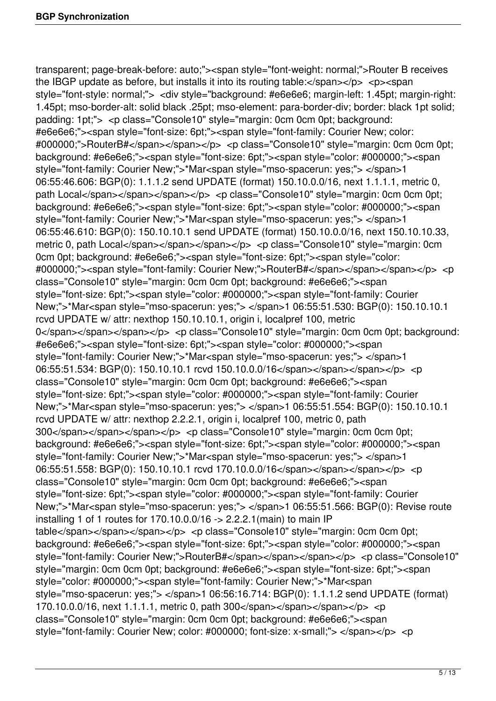transparent; page-break-before: auto;"><span style="font-weight: normal;">Router B receives the IBGP update as before, but installs it into its routing table: $\langle$ span $\rangle$  $\langle$ p $\rangle$   $\langle$ p $\rangle$  $\langle$ span style="font-style: normal;"> <div style="background: #e6e6e6; margin-left: 1.45pt; margin-right: 1.45pt; mso-border-alt: solid black .25pt; mso-element: para-border-div; border: black 1pt solid; padding: 1pt;"> <p class="Console10" style="margin: 0cm 0cm 0pt; background: #e6e6e6;"><span style="font-size: 6pt;"><span style="font-family: Courier New; color: #000000;">RouterB#</span></span></p> <p class="Console10" style="margin: 0cm 0cm 0pt; background: #e6e6e6;"><span style="font-size: 6pt;"><span style="color: #000000;"><span style="font-family: Courier New;">\*Mar<span style="mso-spacerun: yes;"> </span>1 06:55:46.606: BGP(0): 1.1.1.2 send UPDATE (format) 150.10.0.0/16, next 1.1.1.1, metric 0, path Local</span></span></span></p>></p> <p class="Console10" style="margin: 0cm 0cm 0pt; background: #e6e6e6;"><span style="font-size: 6pt;"><span style="color: #000000;"><span style="font-family: Courier New;">\*Mar<span style="mso-spacerun: yes;"> </span>1 06:55:46.610: BGP(0): 150.10.10.1 send UPDATE (format) 150.10.0.0/16, next 150.10.10.33, metric 0, path Local</span></span></span></p></p></p></p></cass="Console10" style="margin: 0cm 0cm 0pt; background: #e6e6e6;"><span style="font-size: 6pt;"><span style="color: #000000;"> < span style="font-family: Courier New;">RouterB# </ span> </ span> </ span> </ p> < p class="Console10" style="margin: 0cm 0cm 0pt; background: #e6e6e6;"><span style="font-size: 6pt;"><span style="color: #000000;"><span style="font-family: Courier New;">\*Mar<span style="mso-spacerun: yes;"> </span>1 06:55:51.530: BGP(0): 150.10.10.1 rcvd UPDATE w/ attr: nexthop 150.10.10.1, origin i, localpref 100, metric 0</span></span></span></p> <p class="Console10" style="margin: 0cm 0cm 0pt; background: #e6e6e6;"><span style="font-size: 6pt;"><span style="color: #000000;"><span style="font-family: Courier New;">\*Mar<span style="mso-spacerun: yes;"> </span>1 06:55:51.534: BGP(0): 150.10.10.1 rcvd 150.10.0.0/16</span></span></span></p> <p class="Console10" style="margin: 0cm 0cm 0pt; background: #e6e6e6;"><span style="font-size: 6pt;"><span style="color: #000000;"><span style="font-family: Courier New;">\*Mar<span style="mso-spacerun: yes;"> </span>1 06:55:51.554: BGP(0): 150.10.10.1 rcvd UPDATE w/ attr: nexthop 2.2.2.1, origin i, localpref 100, metric 0, path 300</span></span></span></p>></p>> <p class="Console10" style="margin: 0cm 0cm 0pt; background: #e6e6e6;"><span style="font-size: 6pt;"><span style="color: #000000;"><span style="font-family: Courier New;">\*Mar<span style="mso-spacerun: yes;"> </span>1 06:55:51.558: BGP(0): 150.10.10.1 rcvd 170.10.0.0/16</span></span></span></p> <p class="Console10" style="margin: 0cm 0cm 0pt; background: #e6e6e6;"><span style="font-size: 6pt;"><span style="color: #000000;"><span style="font-family: Courier New;">\*Mar<span style="mso-spacerun: yes;"> </span>1 06:55:51.566: BGP(0): Revise route installing 1 of 1 routes for 170.10.0.0/16 -> 2.2.2.1(main) to main IP table</span></span></span></p>></p>> <p class="Console10" style="margin: 0cm 0cm 0pt; background: #e6e6e6;"><span style="font-size: 6pt;"><span style="color: #000000;"><span style="font-family: Courier New;">RouterB#</span></span></span></p></p>> <p class="Console10" style="margin: 0cm 0cm 0pt; background: #e6e6e6;"><span style="font-size: 6pt;"><span style="color: #000000;"><span style="font-family: Courier New;">\*Mar<span style="mso-spacerun: yes;"> </span>1 06:56:16.714: BGP(0): 1.1.1.2 send UPDATE (format) 170.10.0.0/16, next 1.1.1.1, metric 0, path  $300$  </span> </span> </span> </p> </p> class="Console10" style="margin: 0cm 0cm 0pt; background: #e6e6e6;"><span style="font-family: Courier New; color: #000000; font-size: x-small;"> </span></p> <p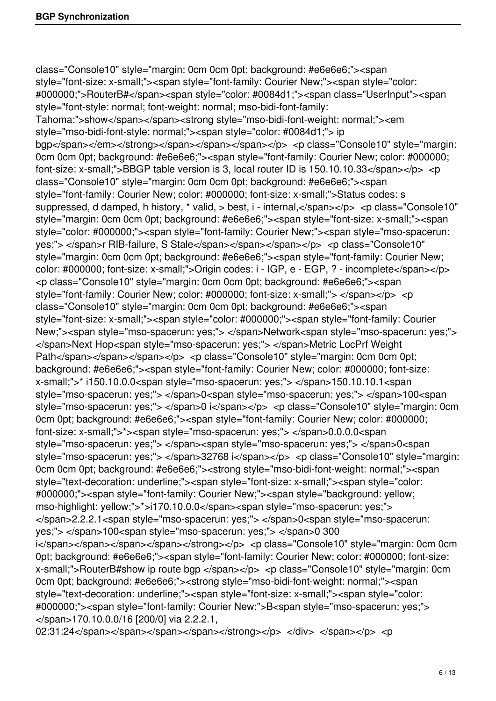class="Console10" style="margin: 0cm 0cm 0pt; background: #e6e6e6;"><span style="font-size: x-small;"><span style="font-family: Courier New;"><span style="color: #000000;">RouterB#</span><span style="color: #0084d1;"><span class="UserInput"><span style="font-style: normal; font-weight: normal; mso-bidi-font-family: Tahoma;">show</span></span><strong style="mso-bidi-font-weight: normal;"><em style="mso-bidi-font-style: normal;"><span style="color: #0084d1;"> ip bgp</span></em></strong></span></span></span></p></p></p></p></class="Console10" style="margin: 0cm 0cm 0pt; background: #e6e6e6;"><span style="font-family: Courier New; color: #000000; font-size: x-small;">BBGP table version is 3, local router ID is  $150.10.10.33 <$ /span> $<$ /p>  $<$ p class="Console10" style="margin: 0cm 0cm 0pt; background: #e6e6e6;"><span style="font-family: Courier New; color: #000000; font-size: x-small;">Status codes: s suppressed, d damped, h history, \* valid, > best, i - internal, </span></p> <p class="Console10" style="margin: 0cm 0cm 0pt; background: #e6e6e6;"><span style="font-size: x-small;"><span style="color: #000000;"><span style="font-family: Courier New;"><span style="mso-spacerun: yes;"> </span>r RIB-failure, S Stale</span></span></span></p> <p class="Console10" style="margin: 0cm 0cm 0pt; background: #e6e6e6;"><span style="font-family: Courier New; color: #000000; font-size: x-small;">Origin codes: i - IGP, e - EGP, ? - incomplete</span></p> <p class="Console10" style="margin: 0cm 0cm 0pt; background: #e6e6e6;"><span style="font-family: Courier New; color: #000000; font-size: x-small;"> </span></p> <p class="Console10" style="margin: 0cm 0cm 0pt; background: #e6e6e6;"><span style="font-size: x-small;"><span style="color: #000000;"><span style="font-family: Courier New;"><span style="mso-spacerun: yes;"> </span>Network<span style="mso-spacerun: yes;"> </span>Next Hop<span style="mso-spacerun: yes;"> </span>Metric LocPrf Weight Path</span></span></span></p>></p>> <p class="Console10" style="margin: 0cm 0cm 0pt; background: #e6e6e6;"><span style="font-family: Courier New; color: #000000; font-size: x-small;">\* i150.10.0.0<span style="mso-spacerun: yes;"> </span>150.10.10.1<span style="mso-spacerun: yes;"> </span>0<span style="mso-spacerun: yes;"> </span>100<span style="mso-spacerun: yes;"> </span>0 i</span></p> <p class="Console10" style="margin: 0cm 0cm 0pt; background: #e6e6e6;"><span style="font-family: Courier New; color: #000000; font-size: x-small;">\*><span style="mso-spacerun: yes;"> </span>0.0.0.0<span style="mso-spacerun: yes;"> </span><span style="mso-spacerun: yes;"> </span>0<span style="mso-spacerun: yes;"> </span>32768 i</span></p> <p class="Console10" style="margin: 0cm 0cm 0pt; background: #e6e6e6;"><strong style="mso-bidi-font-weight: normal;"><span style="text-decoration: underline;"><span style="font-size: x-small;"><span style="color: #000000;"><span style="font-family: Courier New;"><span style="background: yellow; mso-highlight: yellow;">\*>i170.10.0.0</span><span style="mso-spacerun: yes;"> </span>2.2.2.1<span style="mso-spacerun: yes;"> </span>0<span style="mso-spacerun: yes;"> </span>100<span style="mso-spacerun: yes;"> </span>0 300 i</span></span></span></span></span></strong></p></p></p></p>class="Console10" style="margin: 0cm 0cm 0pt; background: #e6e6e6;"><span style="font-family: Courier New; color: #000000; font-size: x-small;">RouterB#show ip route bgp </span></p> <p class="Console10" style="margin: 0cm 0cm 0pt; background: #e6e6e6;"><strong style="mso-bidi-font-weight: normal;"><span style="text-decoration: underline;"><span style="font-size: x-small;"><span style="color: #000000;"><span style="font-family: Courier New;">B<span style="mso-spacerun: yes;"> </span>170.10.0.0/16 [200/0] via 2.2.2.1,

02:31:24</span></span></span></span></span></span></span></p></p></p></p></p></p></p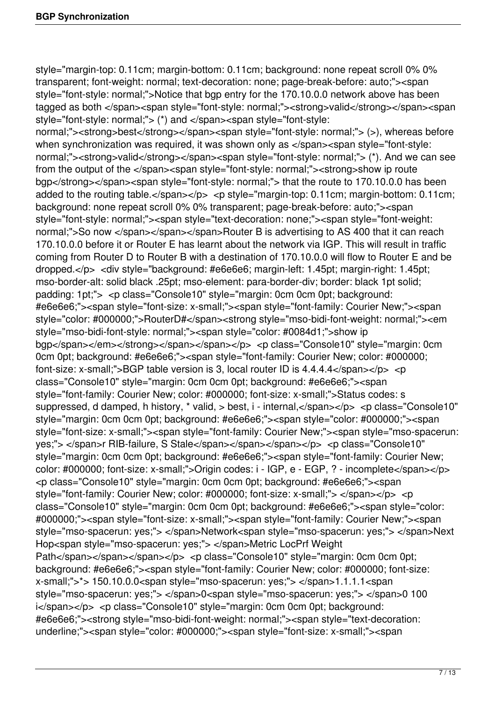style="margin-top: 0.11cm; margin-bottom: 0.11cm; background: none repeat scroll 0% 0% transparent; font-weight: normal; text-decoration: none; page-break-before: auto;"><span style="font-style: normal;">Notice that bgp entry for the 170.10.0.0 network above has been tagged as both </span><span style="font-style: normal;"><strong>valid</strong></span><span style="font-style: normal;"> (\*) and </span><span style="font-style:

normal;"><strong>best</strong></span><span style="font-style: normal;"> (>), whereas before when synchronization was required, it was shown only as </span><span style="font-style: normal;"><strong>valid</strong></span><span style="font-style: normal;"> (\*). And we can see from the output of the </span><span style="font-style: normal;"><strong>show ip route bgp</strong></span><span style="font-style: normal;"> that the route to 170.10.0.0 has been added to the routing table.</span></p> <p style="margin-top: 0.11cm; margin-bottom: 0.11cm; background: none repeat scroll 0% 0% transparent; page-break-before: auto;"><span style="font-style: normal;"><span style="text-decoration: none;"><span style="font-weight: normal;">So now </span></span></span>Router B is advertising to AS 400 that it can reach 170.10.0.0 before it or Router E has learnt about the network via IGP. This will result in traffic coming from Router D to Router B with a destination of 170.10.0.0 will flow to Router E and be dropped.</p> <div style="background: #e6e6e6; margin-left: 1.45pt; margin-right: 1.45pt; mso-border-alt: solid black .25pt; mso-element: para-border-div; border: black 1pt solid; padding: 1pt;"> <p class="Console10" style="margin: 0cm 0cm 0pt; background: #e6e6e6;"><span style="font-size: x-small;"><span style="font-family: Courier New;"><span style="color: #000000;">RouterD#</span><strong style="mso-bidi-font-weight: normal;"><em style="mso-bidi-font-style: normal;"><span style="color: #0084d1;">show ip bgp</span></em></strong></span></span></p></p></p></spass="Console10" style="margin: 0cm 0cm 0pt; background: #e6e6e6;"><span style="font-family: Courier New; color: #000000; font-size: x-small;">BGP table version is 3, local router ID is  $4.4.4.4 <$ /span> $<$ /p>  $<$ p class="Console10" style="margin: 0cm 0cm 0pt; background: #e6e6e6;"><span style="font-family: Courier New; color: #000000; font-size: x-small;">Status codes: s suppressed, d damped, h history, \* valid, > best, i - internal, </span></p> <p class="Console10" style="margin: 0cm 0cm 0pt; background: #e6e6e6;"><span style="color: #000000;"><span style="font-size: x-small;"><span style="font-family: Courier New;"><span style="mso-spacerun: yes;"> </span>r RIB-failure, S Stale</span></span></span></p> <p class="Console10" style="margin: 0cm 0cm 0pt; background: #e6e6e6;"><span style="font-family: Courier New; color: #000000; font-size: x-small;">Origin codes: i - IGP, e - EGP, ? - incomplete</span></p> <p class="Console10" style="margin: 0cm 0cm 0pt; background: #e6e6e6;"><span style="font-family: Courier New; color: #000000; font-size: x-small;"> </span></p> <p class="Console10" style="margin: 0cm 0cm 0pt; background: #e6e6e6;"><span style="color: #000000;"><span style="font-size: x-small;"><span style="font-family: Courier New;"><span style="mso-spacerun: yes;"> </span>Network<span style="mso-spacerun: yes;"> </span>Next Hop<span style="mso-spacerun: yes;"> </span>Metric LocPrf Weight Path</span></span></span></p>></p>> <p class="Console10" style="margin: 0cm 0cm 0pt; background: #e6e6e6;"><span style="font-family: Courier New; color: #000000; font-size: x-small;">\*> 150.10.0.0<span style="mso-spacerun: yes;"> </span>1.1.1.1<span style="mso-spacerun: yes;"> </span>0<span style="mso-spacerun: yes;"> </span>0 100 i</span></p> <p class="Console10" style="margin: 0cm 0cm 0pt; background: #e6e6e6;"><strong style="mso-bidi-font-weight: normal;"><span style="text-decoration: underline;"><span style="color: #000000;"><span style="font-size: x-small;"><span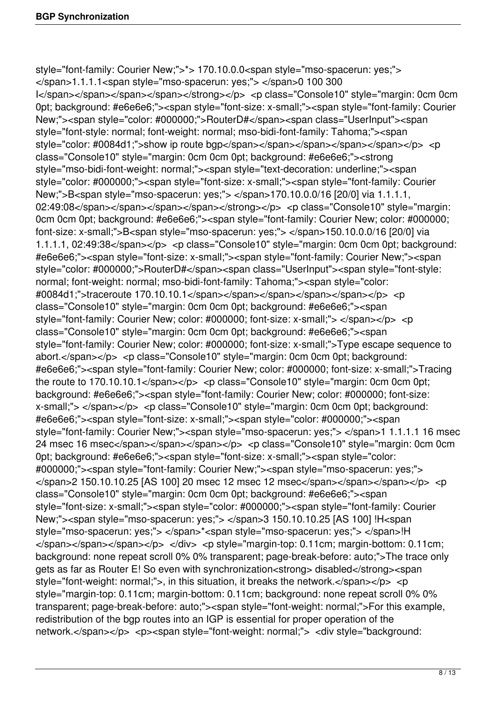style="font-family: Courier New;">\*> 170.10.0.0<span style="mso-spacerun: yes;"> </span>1.1.1.1<span style="mso-spacerun: yes;"> </span>0 100 300 I</span></span></span></span></span></strong></p></p></p></p>class="Console10" style="margin: 0cm 0cm 0pt; background: #e6e6e6;"><span style="font-size: x-small;"><span style="font-family: Courier New;"><span style="color: #000000;">RouterD#</span><span class="UserInput"><span style="font-style: normal; font-weight: normal; mso-bidi-font-family: Tahoma;"><span style="color: #0084d1;">show ip route bgp</span></span></span></span></span></p></p> class="Console10" style="margin: 0cm 0cm 0pt; background: #e6e6e6;"><strong style="mso-bidi-font-weight: normal;"><span style="text-decoration: underline;"><span style="color: #000000;"><span style="font-size: x-small;"><span style="font-family: Courier New;">B<span style="mso-spacerun: yes;"> </span>170.10.0.0/16 [20/0] via 1.1.1.1, 02:49:08</span></span></span></span></span></strong></p></p></p></panspale10" style="margin: 0cm 0cm 0pt; background: #e6e6e6;"><span style="font-family: Courier New; color: #000000; font-size: x-small;">B<span style="mso-spacerun: yes;"> </span>150.10.0.0/16 [20/0] via 1.1.1.1, 02:49:38</span></p> <p class="Console10" style="margin: 0cm 0cm 0pt; background: #e6e6e6;"><span style="font-size: x-small;"><span style="font-family: Courier New;"><span style="color: #000000;">RouterD#</span><span class="UserInput"><span style="font-style: normal; font-weight: normal; mso-bidi-font-family: Tahoma;"><span style="color: #0084d1;">traceroute 170.10.10.1</span></span></span></span></span></p> <p class="Console10" style="margin: 0cm 0cm 0pt; background: #e6e6e6;"><span style="font-family: Courier New; color: #000000; font-size: x-small;"> </span></p> <p class="Console10" style="margin: 0cm 0cm 0pt; background: #e6e6e6;"><span style="font-family: Courier New; color: #000000; font-size: x-small;">Type escape sequence to abort.</span></p> <p class="Console10" style="margin: 0cm 0cm 0pt; background: #e6e6e6;"><span style="font-family: Courier New; color: #000000; font-size: x-small;">Tracing the route to  $170.10.10.1 <$ /span $>>$ /p $>$  <p class="Console10" style="margin: 0cm 0cm 0pt; background: #e6e6e6;"><span style="font-family: Courier New; color: #000000; font-size: x-small;"> </span></p> <p class="Console10" style="margin: 0cm 0cm 0pt; background: #e6e6e6;"><span style="font-size: x-small;"><span style="color: #000000;"><span style="font-family: Courier New;"><span style="mso-spacerun: yes;"> </span>1 1.1.1.1 16 msec 24 msec 16 msec</span></span></span></p> <p class="Console10" style="margin: 0cm 0cm 0pt; background: #e6e6e6;"><span style="font-size: x-small;"><span style="color: #000000;"><span style="font-family: Courier New;"><span style="mso-spacerun: yes;">  $\langle$ span>2 150.10.10.25 [AS 100] 20 msec 12 msec 12 msec</span></span></span></p> <p class="Console10" style="margin: 0cm 0cm 0pt; background: #e6e6e6;"><span style="font-size: x-small;"><span style="color: #000000;"><span style="font-family: Courier New;"><span style="mso-spacerun: yes;"> </span>3 150.10.10.25 [AS 100] !H<span style="mso-spacerun: yes;"> </span>\*<span style="mso-spacerun: yes;"> </span>!H  $\langle$ span $\rangle$   $\langle$ span $\rangle$  $\langle$ span $\rangle$  $\langle$ / $\rangle$  $\langle$ / $\rangle$   $\langle$ / $\rangle$   $\langle$   $\rangle$  and  $\langle$   $\rangle$  by let  $\langle$   $\rangle$  margin-margin-bottom: 0.11cm; background: none repeat scroll 0% 0% transparent; page-break-before: auto;">The trace only gets as far as Router E! So even with synchronization<strong> disabled</strong><span style="font-weight: normal;">, in this situation, it breaks the network.</span></p> <p style="margin-top: 0.11cm; margin-bottom: 0.11cm; background: none repeat scroll 0% 0% transparent; page-break-before: auto;"><span style="font-weight: normal;">For this example, redistribution of the bgp routes into an IGP is essential for proper operation of the network.</span></p> <p><span style="font-weight: normal;"> <div style="background: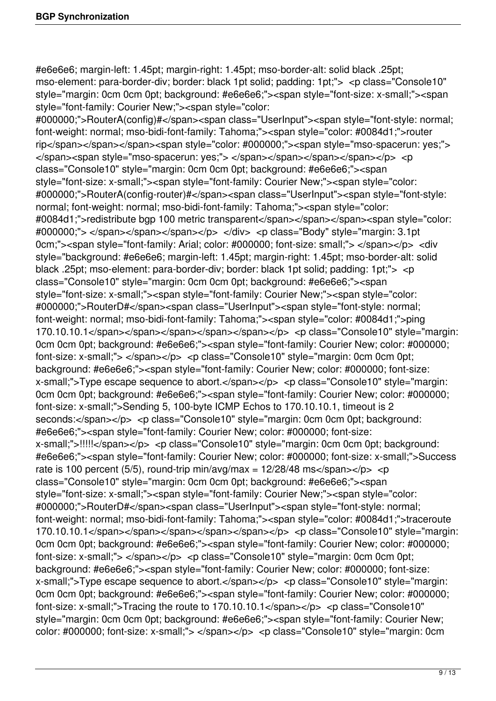#e6e6e6; margin-left: 1.45pt; margin-right: 1.45pt; mso-border-alt: solid black .25pt; mso-element: para-border-div; border: black 1pt solid; padding: 1pt;"> <p class="Console10" style="margin: 0cm 0cm 0pt; background: #e6e6e6;"><span style="font-size: x-small;"><span style="font-family: Courier New;"><span style="color:

#000000;">RouterA(config)#</span><span class="UserInput"><span style="font-style: normal; font-weight: normal; mso-bidi-font-family: Tahoma;"><span style="color: #0084d1;">router rip</span></span></span><span style="color: #000000;"><span style="mso-spacerun: yes;"> </span><span style="mso-spacerun: yes;"> </span></span></span></span></p> <p class="Console10" style="margin: 0cm 0cm 0pt; background: #e6e6e6;"><span style="font-size: x-small;"><span style="font-family: Courier New;"><span style="color: #000000;">RouterA(config-router)#</span><span class="UserInput"><span style="font-style: normal; font-weight: normal; mso-bidi-font-family: Tahoma;"><span style="color: #0084d1;">redistribute bgp 100 metric transparent</span></span></span><span style="color: #000000;"> </span></span></span></p> </div> <p class="Body" style="margin: 3.1pt 0cm;"><span style="font-family: Arial; color: #000000; font-size: small;"> </span></p> <div style="background: #e6e6e6; margin-left: 1.45pt; margin-right: 1.45pt; mso-border-alt: solid black .25pt; mso-element: para-border-div; border: black 1pt solid; padding: 1pt;"> <p class="Console10" style="margin: 0cm 0cm 0pt; background: #e6e6e6;"><span style="font-size: x-small;"><span style="font-family: Courier New;"><span style="color: #000000;">RouterD#</span><span class="UserInput"><span style="font-style: normal; font-weight: normal; mso-bidi-font-family: Tahoma;"><span style="color: #0084d1;">ping 170.10.10.1</span></span></span></span></span></p>></p></p></p></cpanss="Console10" style="margin: 0cm 0cm 0pt; background: #e6e6e6;"><span style="font-family: Courier New; color: #000000; font-size: x-small;"> </span></p> <p class="Console10" style="margin: 0cm 0cm 0pt; background: #e6e6e6;"><span style="font-family: Courier New; color: #000000; font-size: x-small;">Type escape sequence to abort.</span></p> <p class="Console10" style="margin: 0cm 0cm 0pt; background: #e6e6e6;"><span style="font-family: Courier New; color: #000000; font-size: x-small;">Sending 5, 100-byte ICMP Echos to 170.10.10.1, timeout is 2 seconds:</span></p> <p class="Console10" style="margin: 0cm 0cm 0pt; background: #e6e6e6;"><span style="font-family: Courier New; color: #000000; font-size: x-small;">!!!!!</span></p> <p class="Console10" style="margin: 0cm 0cm 0pt; background: #e6e6e6;"><span style="font-family: Courier New; color: #000000; font-size: x-small;">Success rate is 100 percent (5/5), round-trip  $min/avg/max = 12/28/48$  ms</span></p> <p class="Console10" style="margin: 0cm 0cm 0pt; background: #e6e6e6;"><span style="font-size: x-small;"><span style="font-family: Courier New;"><span style="color: #000000;">RouterD#</span><span class="UserInput"><span style="font-style: normal; font-weight: normal; mso-bidi-font-family: Tahoma;"><span style="color: #0084d1;">traceroute 170.10.10.1</span></span></span></span></span></p>></p>><p class="Console10" style="margin: 0cm 0cm 0pt; background: #e6e6e6;"><span style="font-family: Courier New; color: #000000; font-size: x-small;"> </span></p> <p class="Console10" style="margin: 0cm 0cm 0pt; background: #e6e6e6;"><span style="font-family: Courier New; color: #000000; font-size: x-small;">Type escape sequence to abort.</span></p> <p class="Console10" style="margin: 0cm 0cm 0pt; background: #e6e6e6;"><span style="font-family: Courier New; color: #000000; font-size: x-small;">Tracing the route to 170.10.10.1</span></p> <p class="Console10" style="margin: 0cm 0cm 0pt; background: #e6e6e6;"><span style="font-family: Courier New; color: #000000; font-size: x-small;"> </span></p> <p class="Console10" style="margin: 0cm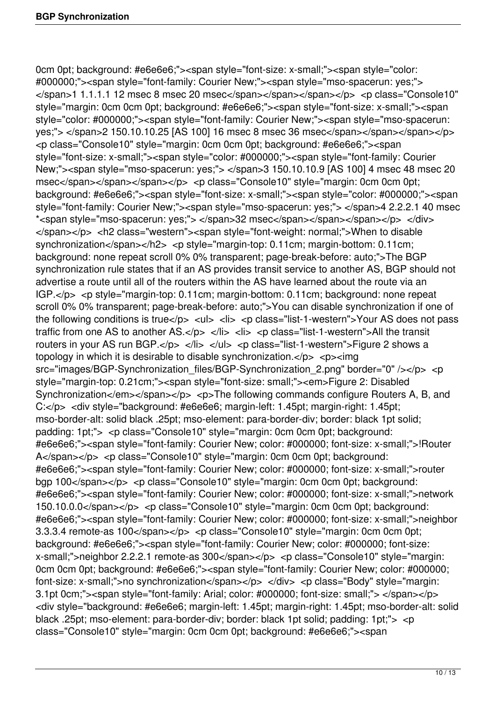0cm 0pt; background: #e6e6e6;"><span style="font-size: x-small;"><span style="color: #000000;"><span style="font-family: Courier New;"><span style="mso-spacerun: yes;"> </span>1 1.1.1.1 12 msec 8 msec 20 msec</span></span></span></p> <p class="Console10" style="margin: 0cm 0cm 0pt; background: #e6e6e6;"><span style="font-size: x-small;"><span style="color: #000000;"><span style="font-family: Courier New;"><span style="mso-spacerun: yes;"> </span>2 150.10.10.25 [AS 100] 16 msec 8 msec 36 msec</span></span></span></p> <p class="Console10" style="margin: 0cm 0cm 0pt; background: #e6e6e6;"><span style="font-size: x-small;"><span style="color: #000000;"><span style="font-family: Courier New;"><span style="mso-spacerun: yes;"> </span>3 150.10.10.9 [AS 100] 4 msec 48 msec 20 msec</span></span></span></p>></p>> <p class="Console10" style="margin: 0cm 0cm 0pt; background: #e6e6e6;"><span style="font-size: x-small;"><span style="color: #000000;"><span style="font-family: Courier New;"><span style="mso-spacerun: yes;"> </span>4 2.2.2.1 40 msec \*<span style="mso-spacerun: yes;"> </span>32 msec</span></span></span></p> </div> </span></p> <h2 class="western"><span style="font-weight: normal;">When to disable synchronization</span></h2> <p style="margin-top: 0.11cm; margin-bottom: 0.11cm; background: none repeat scroll 0% 0% transparent; page-break-before: auto;">The BGP synchronization rule states that if an AS provides transit service to another AS, BGP should not advertise a route until all of the routers within the AS have learned about the route via an IGP.</p> <p style="margin-top: 0.11cm; margin-bottom: 0.11cm; background: none repeat scroll 0% 0% transparent; page-break-before: auto;">You can disable synchronization if one of the following conditions is true $\langle p \rangle$   $\langle u \rangle$   $\langle h \rangle$   $\langle v \rangle$  class="list-1-western">Your AS does not pass traffic from one AS to another AS.</p> </li> <li> <p class="list-1-western">All the transit routers in your AS run BGP.</p> </li> </ul> <p class="list-1-western">Figure 2 shows a topology in which it is desirable to disable synchronization. $<$ /p>  $<$ p> $<$ img src="images/BGP-Synchronization\_files/BGP-Synchronization\_2.png" border="0" /></p> <p style="margin-top: 0.21cm;"><span style="font-size: small;"><em>Figure 2: Disabled Synchronization</em></span></p> <p>> <p>The following commands configure Routers A, B, and C:</p> <div style="background: #e6e6e6; margin-left: 1.45pt; margin-right: 1.45pt; mso-border-alt: solid black .25pt; mso-element: para-border-div; border: black 1pt solid; padding: 1pt;"> <p class="Console10" style="margin: 0cm 0cm 0pt; background: #e6e6e6;"><span style="font-family: Courier New; color: #000000; font-size: x-small;">!Router A</span></p> <p class="Console10" style="margin: 0cm 0cm 0pt; background: #e6e6e6;"><span style="font-family: Courier New; color: #000000; font-size: x-small;">router bgp 100</span></p> <p class="Console10" style="margin: 0cm 0cm 0pt; background: #e6e6e6;"><span style="font-family: Courier New; color: #000000; font-size: x-small;">network 150.10.0.0</span></p> <p class="Console10" style="margin: 0cm 0cm 0pt; background: #e6e6e6;"><span style="font-family: Courier New; color: #000000; font-size: x-small;">neighbor 3.3.3.4 remote-as 100</span></p> <p class="Console10" style="margin: 0cm 0cm 0pt; background: #e6e6e6;"><span style="font-family: Courier New; color: #000000; font-size: x-small;">neighbor 2.2.2.1 remote-as 300</span></p> <p class="Console10" style="margin: 0cm 0cm 0pt; background: #e6e6e6;"><span style="font-family: Courier New; color: #000000; font-size: x-small:">no synchronization</span></p> </div> <p class="Body" style="margin: 3.1pt 0cm;"><span style="font-family: Arial; color: #000000; font-size: small;"> </span></p> <div style="background: #e6e6e6; margin-left: 1.45pt; margin-right: 1.45pt; mso-border-alt: solid black .25pt; mso-element: para-border-div; border: black 1pt solid; padding: 1pt;"> <p class="Console10" style="margin: 0cm 0cm 0pt; background: #e6e6e6;"><span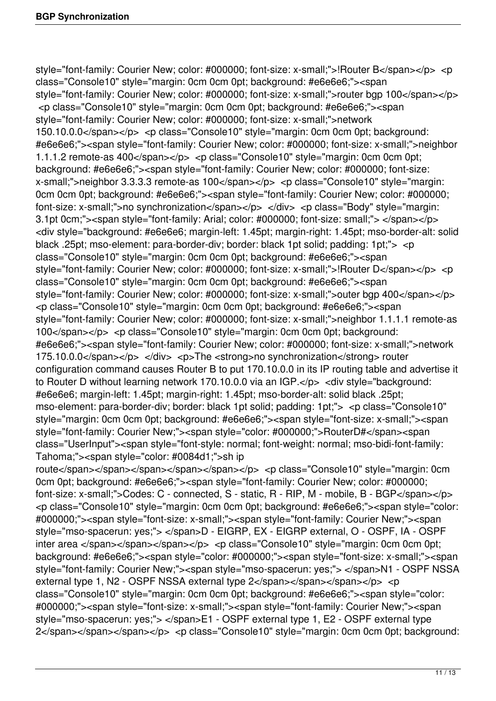style="font-family: Courier New; color: #000000; font-size: x-small;">!Router B</span></p> <p class="Console10" style="margin: 0cm 0cm 0pt; background: #e6e6e6;"><span style="font-family: Courier New; color: #000000; font-size: x-small;">router bgp 100</span></p> <p class="Console10" style="margin: 0cm 0cm 0pt; background: #e6e6e6;"><span style="font-family: Courier New; color: #000000; font-size: x-small;">network 150.10.0.0</span></p> <p class="Console10" style="margin: 0cm 0cm 0pt; background: #e6e6e6;"><span style="font-family: Courier New; color: #000000; font-size: x-small;">neighbor 1.1.1.2 remote-as 400</span></p> <p class="Console10" style="margin: 0cm 0cm 0pt; background: #e6e6e6;"><span style="font-family: Courier New; color: #000000; font-size: x-small;">neighbor 3.3.3.3 remote-as 100</span></p> <p class="Console10" style="margin: 0cm 0cm 0pt; background: #e6e6e6;"><span style="font-family: Courier New; color: #000000; font-size: x-small;">no synchronization</span></p> </div> <p class="Body" style="margin: 3.1pt 0cm;"><span style="font-family: Arial; color: #000000; font-size: small;"> </span></p> <div style="background: #e6e6e6; margin-left: 1.45pt; margin-right: 1.45pt; mso-border-alt: solid black .25pt; mso-element: para-border-div; border: black 1pt solid; padding: 1pt;"> <p class="Console10" style="margin: 0cm 0cm 0pt; background: #e6e6e6;"><span style="font-family: Courier New; color: #000000; font-size: x-small;">!Router D</span></p> <p class="Console10" style="margin: 0cm 0cm 0pt; background: #e6e6e6;"><span style="font-family: Courier New; color: #000000; font-size: x-small;">outer bgp 400</span></p> <p class="Console10" style="margin: 0cm 0cm 0pt; background: #e6e6e6;"><span style="font-family: Courier New; color: #000000; font-size: x-small;">neighbor 1.1.1.1 remote-as 100</span></p> <p class="Console10" style="margin: 0cm 0cm 0pt; background: #e6e6e6;"><span style="font-family: Courier New; color: #000000; font-size: x-small;">network 175.10.0.0</span></p> </div> <p>The <strong>no synchronization</strong> router configuration command causes Router B to put 170.10.0.0 in its IP routing table and advertise it to Router D without learning network 170.10.0.0 via an IGP.</p> <div style="background: #e6e6e6; margin-left: 1.45pt; margin-right: 1.45pt; mso-border-alt: solid black .25pt; mso-element: para-border-div; border: black 1pt solid; padding: 1pt;"> <p class="Console10" style="margin: 0cm 0cm 0pt; background: #e6e6e6;"><span style="font-size: x-small;"><span style="font-family: Courier New;"><span style="color: #000000;">RouterD#</span><span class="UserInput"><span style="font-style: normal; font-weight: normal; mso-bidi-font-family: Tahoma;"><span style="color: #0084d1;">sh ip route</span></span></span></span></span></span></p></p></p></p>class="Console10" style="margin: 0cm 0cm 0pt; background: #e6e6e6;"><span style="font-family: Courier New; color: #000000; font-size: x-small;">Codes: C - connected, S - static, R - RIP, M - mobile, B - BGP</span></p> <p class="Console10" style="margin: 0cm 0cm 0pt; background: #e6e6e6;"><span style="color: #000000;"><span style="font-size: x-small;"><span style="font-family: Courier New;"><span style="mso-spacerun: yes;"> </span>D - EIGRP, EX - EIGRP external, O - OSPF, IA - OSPF inter area </span></span></span></p> <p class="Console10" style="margin: 0cm 0cm 0pt; background: #e6e6e6;"><span style="color: #000000;"><span style="font-size: x-small;"><span style="font-family: Courier New;"><span style="mso-spacerun: yes;"> </span>N1 - OSPF NSSA external type 1, N2 - OSPF NSSA external type 2</span></span></span></p> <p class="Console10" style="margin: 0cm 0cm 0pt; background: #e6e6e6;"><span style="color: #000000;"><span style="font-size: x-small;"><span style="font-family: Courier New;"><span style="mso-spacerun: yes;"> </span>E1 - OSPF external type 1, E2 - OSPF external type 2</span></span></span></p> <p class="Console10" style="margin: 0cm 0cm 0pt; background: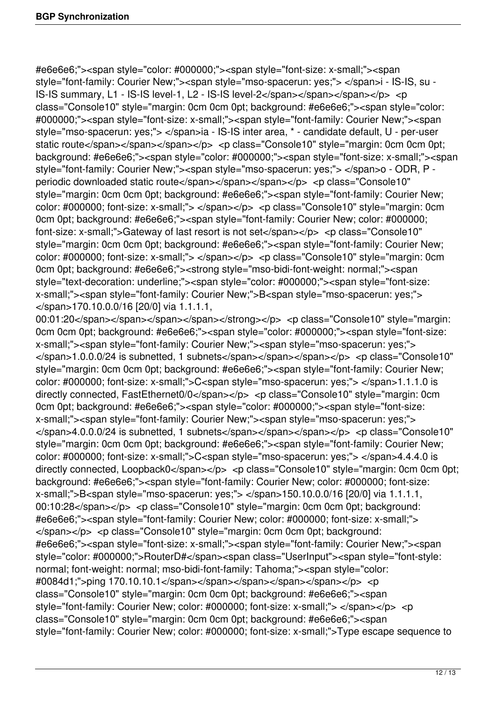#e6e6e6;"><span style="color: #000000;"><span style="font-size: x-small;"><span style="font-family: Courier New;"><span style="mso-spacerun: yes;"> </span>i - IS-IS, su - IS-IS summary, L1 - IS-IS level-1, L2 - IS-IS level-2</span></span></span></p> <p class="Console10" style="margin: 0cm 0cm 0pt; background: #e6e6e6;"><span style="color: #000000;"><span style="font-size: x-small;"><span style="font-family: Courier New;"><span style="mso-spacerun: yes;"> </span>ia - IS-IS inter area, \* - candidate default, U - per-user static route</span></span></span></p>></p></p></p></cpduss="Console10" style="margin: 0cm 0cm 0pt; background: #e6e6e6;"><span style="color: #000000;"><span style="font-size: x-small;"><span style="font-family: Courier New;"><span style="mso-spacerun: yes;"> </span>o - ODR, P periodic downloaded static route</span></span></span></p> <p class="Console10" style="margin: 0cm 0cm 0pt; background: #e6e6e6;"><span style="font-family: Courier New; color: #000000; font-size: x-small;"> </span></p> <p class="Console10" style="margin: 0cm 0cm 0pt; background: #e6e6e6;"><span style="font-family: Courier New; color: #000000; font-size: x-small;">Gateway of last resort is not set</span></p> <p class="Console10" style="margin: 0cm 0cm 0pt; background: #e6e6e6;"><span style="font-family: Courier New; color: #000000; font-size: x-small;"> </span></p> <p class="Console10" style="margin: 0cm 0cm 0pt; background: #e6e6e6;"><strong style="mso-bidi-font-weight: normal;"><span style="text-decoration: underline;"><span style="color: #000000;"><span style="font-size: x-small;"><span style="font-family: Courier New;">B<span style="mso-spacerun: yes;"> </span>170.10.0.0/16 [20/0] via 1.1.1.1,

00:01:20</span></span></span></span></span></strong></p> <p class="Console10" style="margin: 0cm 0cm 0pt; background: #e6e6e6;"><span style="color: #000000;"><span style="font-size: x-small;"><span style="font-family: Courier New;"><span style="mso-spacerun: yes;"> </span>1.0.0.0/24 is subnetted, 1 subnets</span></span></span></p> <p class="Console10" style="margin: 0cm 0cm 0pt; background: #e6e6e6;"><span style="font-family: Courier New; color: #000000; font-size: x-small;">C<span style="mso-spacerun: yes;"> </span>1.1.1.0 is directly connected, FastEthernet0/0</span></p> <p class="Console10" style="margin: 0cm 0cm 0pt; background: #e6e6e6;"><span style="color: #000000;"><span style="font-size: x-small;"><span style="font-family: Courier New;"><span style="mso-spacerun: yes;"> </span>4.0.0.0/24 is subnetted, 1 subnets</span></span></span></p> <p class="Console10" style="margin: 0cm 0cm 0pt; background: #e6e6e6;"><span style="font-family: Courier New; color: #000000; font-size: x-small;">C<span style="mso-spacerun: yes;"> </span>4.4.4.0 is directly connected, Loopback0</span></p> <p class="Console10" style="margin: 0cm 0cm 0pt; background: #e6e6e6;"><span style="font-family: Courier New; color: #000000; font-size: x-small;">B<span style="mso-spacerun: yes;"> </span>150.10.0.0/16 [20/0] via 1.1.1.1, 00:10:28</span></p> <p class="Console10" style="margin: 0cm 0cm 0pt; background: #e6e6e6;"><span style="font-family: Courier New; color: #000000; font-size: x-small;"> </span></p> <p class="Console10" style="margin: 0cm 0cm 0pt; background: #e6e6e6;"><span style="font-size: x-small;"><span style="font-family: Courier New;"><span style="color: #000000;">RouterD#</span><span class="UserInput"><span style="font-style: normal; font-weight: normal; mso-bidi-font-family: Tahoma;"><span style="color: #0084d1;">ping 170.10.10.1</span></span></span></span></span></p> <p class="Console10" style="margin: 0cm 0cm 0pt; background: #e6e6e6;"><span style="font-family: Courier New; color: #000000; font-size: x-small;"> </span></p> <p class="Console10" style="margin: 0cm 0cm 0pt; background: #e6e6e6;"><span style="font-family: Courier New; color: #000000; font-size: x-small;">Type escape sequence to